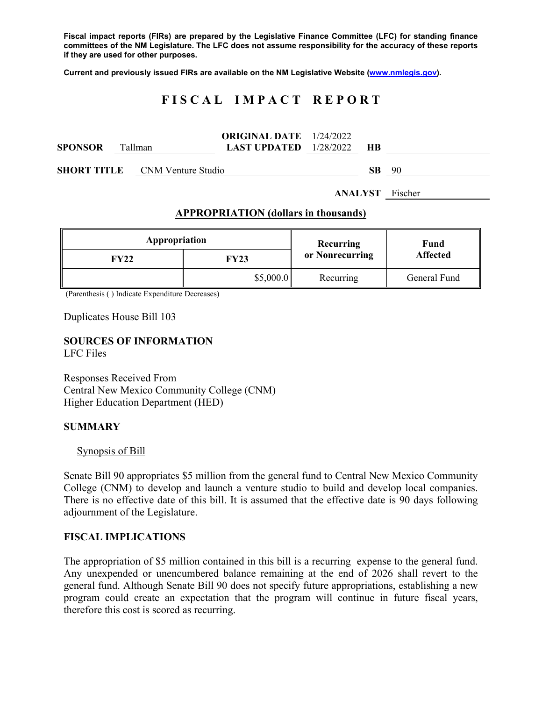**Fiscal impact reports (FIRs) are prepared by the Legislative Finance Committee (LFC) for standing finance committees of the NM Legislature. The LFC does not assume responsibility for the accuracy of these reports if they are used for other purposes.** 

**Current and previously issued FIRs are available on the NM Legislative Website (www.nmlegis.gov).** 

# **F I S C A L I M P A C T R E P O R T**

| SPONSOR | Tallman |                                       | <b>ORIGINAL DATE</b> 1/24/2022<br><b>LAST UPDATED</b> $1/28/2022$ | <b>HB</b> |    |
|---------|---------|---------------------------------------|-------------------------------------------------------------------|-----------|----|
|         |         | <b>SHORT TITLE</b> CNM Venture Studio |                                                                   | SB.       | 90 |

**ANALYST** Fischer

## **APPROPRIATION (dollars in thousands)**

| Appropriation |           | Recurring       | Fund<br><b>Affected</b> |  |
|---------------|-----------|-----------------|-------------------------|--|
| FY22          | FY23      | or Nonrecurring |                         |  |
|               | \$5,000.0 | Recurring       | General Fund            |  |

(Parenthesis ( ) Indicate Expenditure Decreases)

Duplicates House Bill 103

# **SOURCES OF INFORMATION**

LFC Files

Responses Received From Central New Mexico Community College (CNM) Higher Education Department (HED)

#### **SUMMARY**

Synopsis of Bill

Senate Bill 90 appropriates \$5 million from the general fund to Central New Mexico Community College (CNM) to develop and launch a venture studio to build and develop local companies. There is no effective date of this bill. It is assumed that the effective date is 90 days following adjournment of the Legislature.

# **FISCAL IMPLICATIONS**

The appropriation of \$5 million contained in this bill is a recurring expense to the general fund. Any unexpended or unencumbered balance remaining at the end of 2026 shall revert to the general fund. Although Senate Bill 90 does not specify future appropriations, establishing a new program could create an expectation that the program will continue in future fiscal years, therefore this cost is scored as recurring.